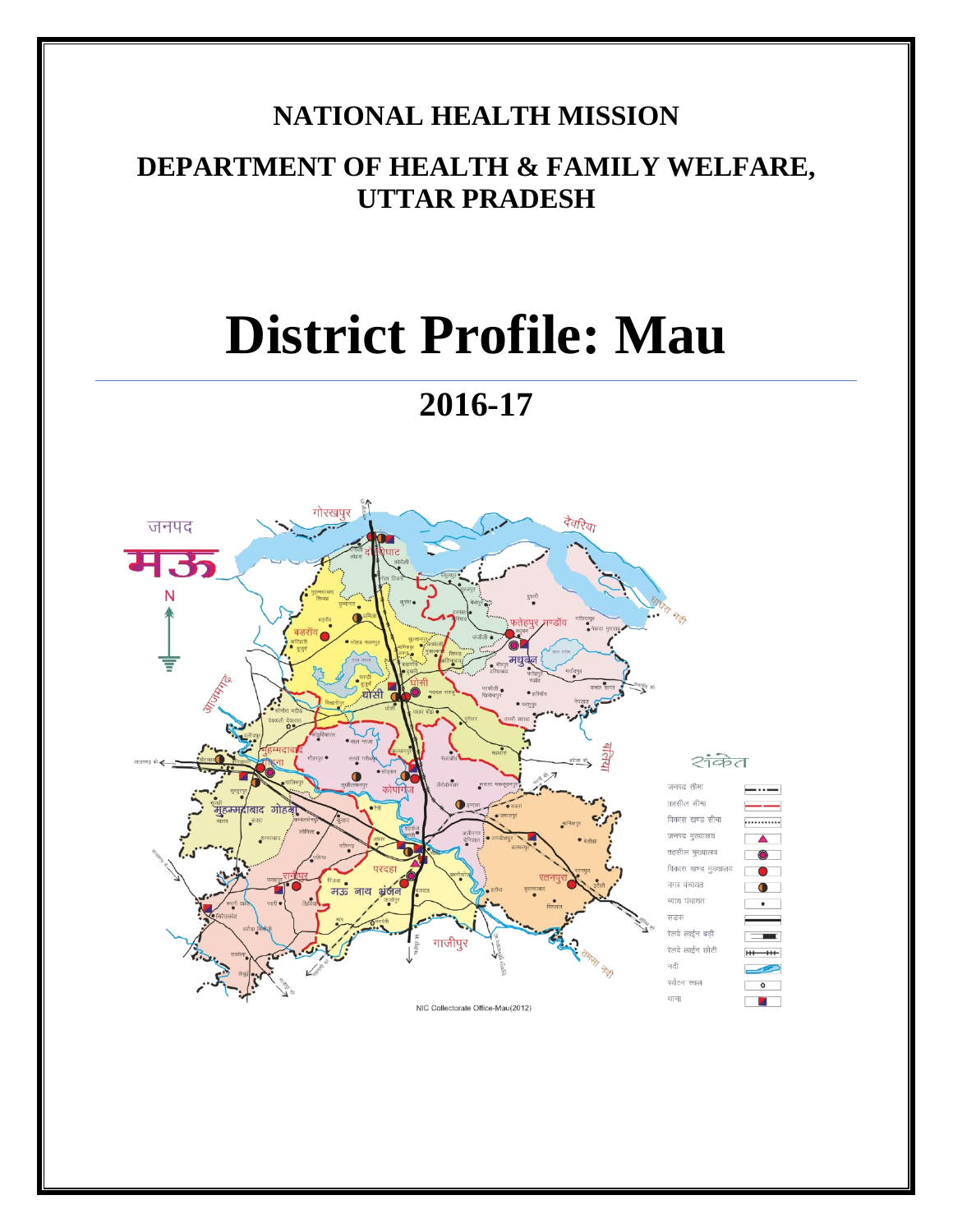# **NATIONAL HEALTH MISSION**

## **DEPARTMENT OF HEALTH & FAMILY WELFARE, UTTAR PRADESH**

# **District Profile: Mau**

# **2016-17**

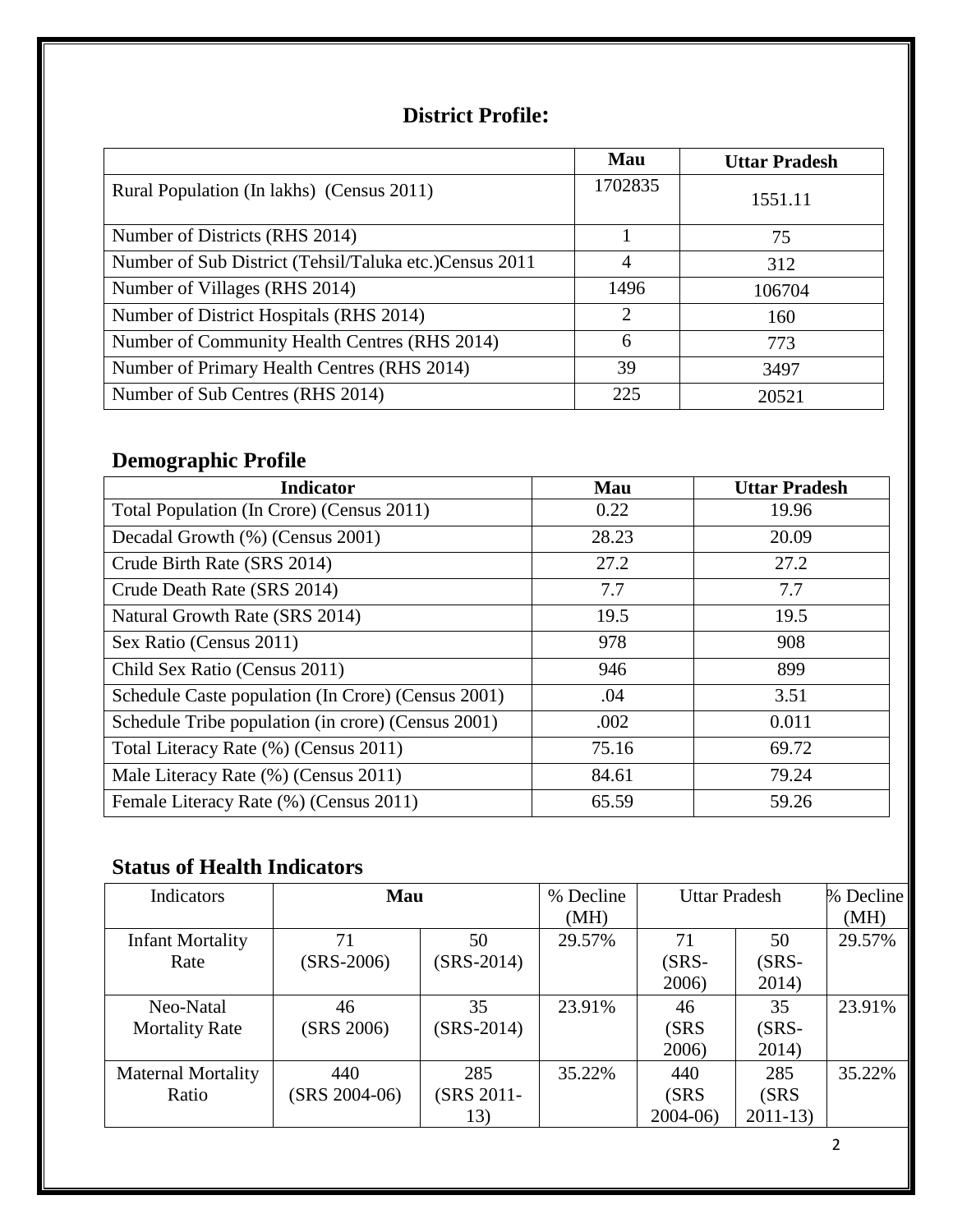## **District Profile:**

|                                                         | Mau                         | <b>Uttar Pradesh</b> |
|---------------------------------------------------------|-----------------------------|----------------------|
| Rural Population (In lakhs) (Census 2011)               | 1702835                     | 1551.11              |
| Number of Districts (RHS 2014)                          |                             | 75                   |
| Number of Sub District (Tehsil/Taluka etc.) Census 2011 | 4                           | 312                  |
| Number of Villages (RHS 2014)                           | 1496                        | 106704               |
| Number of District Hospitals (RHS 2014)                 | $\mathcal{D}_{\mathcal{L}}$ | 160                  |
| Number of Community Health Centres (RHS 2014)           | 6                           | 773                  |
| Number of Primary Health Centres (RHS 2014)             | 39                          | 3497                 |
| Number of Sub Centres (RHS 2014)                        | 225                         | 20521                |

## **Demographic Profile**

| <b>Indicator</b>                                   | <b>Mau</b> | <b>Uttar Pradesh</b> |
|----------------------------------------------------|------------|----------------------|
| Total Population (In Crore) (Census 2011)          | 0.22       | 19.96                |
| Decadal Growth (%) (Census 2001)                   | 28.23      | 20.09                |
| Crude Birth Rate (SRS 2014)                        | 27.2       | 27.2                 |
| Crude Death Rate (SRS 2014)                        | 7.7        | 7.7                  |
| Natural Growth Rate (SRS 2014)                     | 19.5       | 19.5                 |
| Sex Ratio (Census 2011)                            | 978        | 908                  |
| Child Sex Ratio (Census 2011)                      | 946        | 899                  |
| Schedule Caste population (In Crore) (Census 2001) | .04        | 3.51                 |
| Schedule Tribe population (in crore) (Census 2001) | .002       | 0.011                |
| Total Literacy Rate (%) (Census 2011)              | 75.16      | 69.72                |
| Male Literacy Rate (%) (Census 2011)               | 84.61      | 79.24                |
| Female Literacy Rate (%) (Census 2011)             | 65.59      | 59.26                |

## **Status of Health Indicators**

| <b>Indicators</b>         | <b>Mau</b>      |              | % Decline | <b>Uttar Pradesh</b> |           | % Decline |
|---------------------------|-----------------|--------------|-----------|----------------------|-----------|-----------|
|                           |                 |              | (MH)      |                      |           | (MH)      |
| <b>Infant Mortality</b>   | 71              | 50           | 29.57%    | 71                   | 50        | 29.57%    |
| Rate                      | $(SRS-2006)$    | $(SRS-2014)$ |           | (SRS-                | $(SRS -$  |           |
|                           |                 |              |           | 2006)                | 2014)     |           |
| Neo-Natal                 | 46              | 35           | 23.91%    | 46                   | 35        | 23.91%    |
| <b>Mortality Rate</b>     | (SRS 2006)      | $(SRS-2014)$ |           | (SRS)                | $(SRS-$   |           |
|                           |                 |              |           | 2006)                | 2014)     |           |
| <b>Maternal Mortality</b> | 440             | 285          | 35.22%    | 440                  | 285       | 35.22%    |
| Ratio                     | $(SRS 2004-06)$ | (SRS 2011-   |           | (SRS)                | (SRS      |           |
|                           |                 | 13)          |           | $2004-06$            | $2011-13$ |           |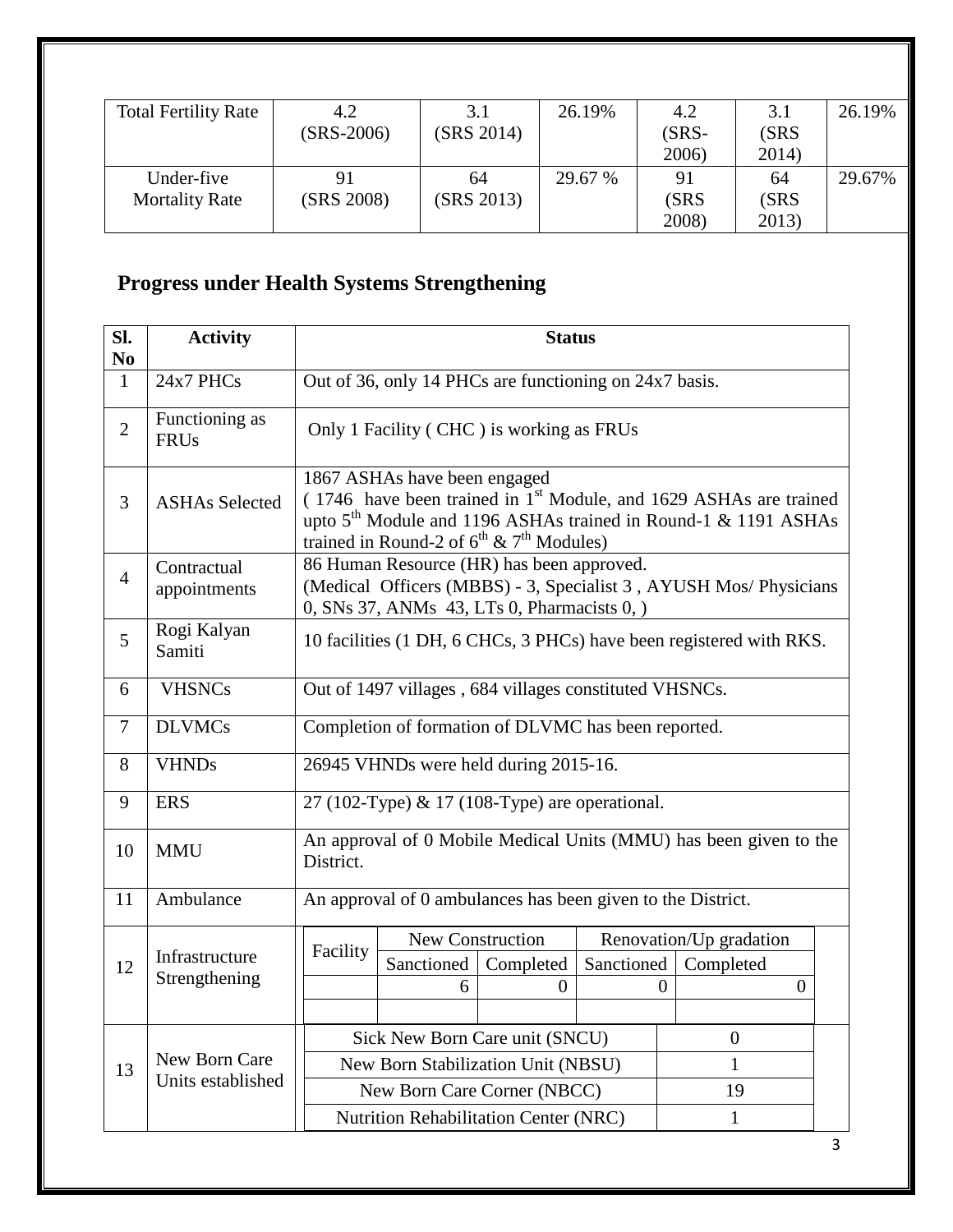| <b>Total Fertility Rate</b> | 4.2          | 3.1        | 26.19%  | 4.2   | 3.1   | 26.19% |
|-----------------------------|--------------|------------|---------|-------|-------|--------|
|                             | $(SRS-2006)$ | (SRS 2014) |         | (SRS- | (SRS  |        |
|                             |              |            |         | 2006) | 2014) |        |
| Under-five                  |              | 64         | 29.67 % | 91    | 64    | 29.67% |
| <b>Mortality Rate</b>       | (SRS 2008)   | (SRS 2013) |         | (SRS  | (SRS  |        |
|                             |              |            |         | 2008) | 2013) |        |

# **Progress under Health Systems Strengthening**

| <b>Activity</b>                 | <b>Status</b>                                                                                                                |                                                                                                                                                                                   |  |  |                                                                                                                                                                                                                                                                                                                                                          |                                                                                                                                                                                                                                                                                                                                                                                   |
|---------------------------------|------------------------------------------------------------------------------------------------------------------------------|-----------------------------------------------------------------------------------------------------------------------------------------------------------------------------------|--|--|----------------------------------------------------------------------------------------------------------------------------------------------------------------------------------------------------------------------------------------------------------------------------------------------------------------------------------------------------------|-----------------------------------------------------------------------------------------------------------------------------------------------------------------------------------------------------------------------------------------------------------------------------------------------------------------------------------------------------------------------------------|
| 24x7 PHCs                       |                                                                                                                              |                                                                                                                                                                                   |  |  |                                                                                                                                                                                                                                                                                                                                                          |                                                                                                                                                                                                                                                                                                                                                                                   |
| Functioning as<br><b>FRUs</b>   |                                                                                                                              |                                                                                                                                                                                   |  |  |                                                                                                                                                                                                                                                                                                                                                          |                                                                                                                                                                                                                                                                                                                                                                                   |
| <b>ASHAs Selected</b>           |                                                                                                                              | 1867 ASHAs have been engaged<br>(1746 have been trained in 1 <sup>st</sup> Module, and 1629 ASHAs are trained<br>upto $5th$ Module and 1196 ASHAs trained in Round-1 & 1191 ASHAs |  |  |                                                                                                                                                                                                                                                                                                                                                          |                                                                                                                                                                                                                                                                                                                                                                                   |
| Contractual<br>appointments     |                                                                                                                              |                                                                                                                                                                                   |  |  |                                                                                                                                                                                                                                                                                                                                                          |                                                                                                                                                                                                                                                                                                                                                                                   |
| Rogi Kalyan<br>Samiti           |                                                                                                                              |                                                                                                                                                                                   |  |  |                                                                                                                                                                                                                                                                                                                                                          |                                                                                                                                                                                                                                                                                                                                                                                   |
| <b>VHSNCs</b>                   |                                                                                                                              | Out of 1497 villages, 684 villages constituted VHSNCs.                                                                                                                            |  |  |                                                                                                                                                                                                                                                                                                                                                          |                                                                                                                                                                                                                                                                                                                                                                                   |
| <b>DLVMCs</b>                   |                                                                                                                              | Completion of formation of DLVMC has been reported.                                                                                                                               |  |  |                                                                                                                                                                                                                                                                                                                                                          |                                                                                                                                                                                                                                                                                                                                                                                   |
| <b>VHNDs</b>                    |                                                                                                                              |                                                                                                                                                                                   |  |  |                                                                                                                                                                                                                                                                                                                                                          |                                                                                                                                                                                                                                                                                                                                                                                   |
| <b>ERS</b>                      |                                                                                                                              |                                                                                                                                                                                   |  |  |                                                                                                                                                                                                                                                                                                                                                          |                                                                                                                                                                                                                                                                                                                                                                                   |
| <b>MMU</b>                      | District.                                                                                                                    |                                                                                                                                                                                   |  |  |                                                                                                                                                                                                                                                                                                                                                          |                                                                                                                                                                                                                                                                                                                                                                                   |
| Ambulance                       | An approval of 0 ambulances has been given to the District.                                                                  |                                                                                                                                                                                   |  |  |                                                                                                                                                                                                                                                                                                                                                          |                                                                                                                                                                                                                                                                                                                                                                                   |
| Infrastructure<br>Strengthening | New Construction<br>Renovation/Up gradation<br>Facility<br>Sanctioned<br>Sanctioned<br>Completed<br>Completed<br>0<br>0<br>6 |                                                                                                                                                                                   |  |  |                                                                                                                                                                                                                                                                                                                                                          |                                                                                                                                                                                                                                                                                                                                                                                   |
|                                 | Sick New Born Care unit (SNCU)<br>$\overline{0}$                                                                             |                                                                                                                                                                                   |  |  |                                                                                                                                                                                                                                                                                                                                                          |                                                                                                                                                                                                                                                                                                                                                                                   |
| Units established               |                                                                                                                              |                                                                                                                                                                                   |  |  |                                                                                                                                                                                                                                                                                                                                                          |                                                                                                                                                                                                                                                                                                                                                                                   |
|                                 |                                                                                                                              |                                                                                                                                                                                   |  |  |                                                                                                                                                                                                                                                                                                                                                          |                                                                                                                                                                                                                                                                                                                                                                                   |
|                                 | New Born Care                                                                                                                |                                                                                                                                                                                   |  |  | Only 1 Facility (CHC) is working as FRUs<br>trained in Round-2 of $6^{th}$ & $7^{th}$ Modules)<br>86 Human Resource (HR) has been approved.<br>0, SNs 37, ANMs 43, LTs 0, Pharmacists 0, )<br>26945 VHNDs were held during 2015-16.<br>New Born Stabilization Unit (NBSU)<br>New Born Care Corner (NBCC)<br><b>Nutrition Rehabilitation Center (NRC)</b> | Out of 36, only 14 PHCs are functioning on 24x7 basis.<br>(Medical Officers (MBBS) - 3, Specialist 3, AYUSH Mos/ Physicians<br>10 facilities (1 DH, 6 CHCs, 3 PHCs) have been registered with RKS.<br>27 (102-Type) & 17 (108-Type) are operational.<br>An approval of 0 Mobile Medical Units (MMU) has been given to the<br>$\overline{0}$<br>$\mathbf{1}$<br>19<br>$\mathbf{1}$ |

3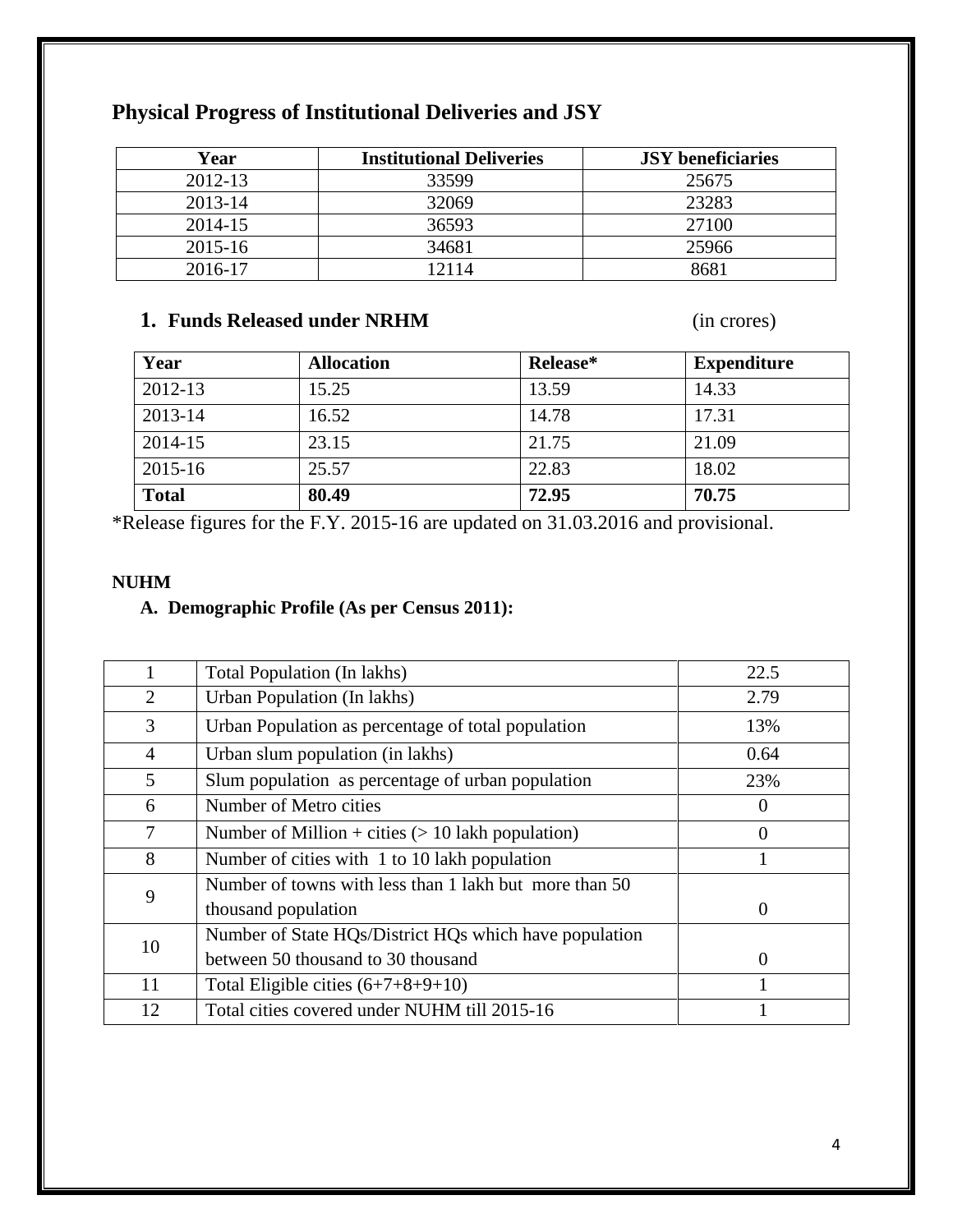| Year    | <b>Institutional Deliveries</b> | <b>JSY</b> beneficiaries |
|---------|---------------------------------|--------------------------|
| 2012-13 | 33599                           | 25675                    |
| 2013-14 | 32069                           | 23283                    |
| 2014-15 | 36593                           | 27100                    |
| 2015-16 | 34681                           | 25966                    |
| 2016-17 | 2114                            | 8681                     |

## **Physical Progress of Institutional Deliveries and JSY**

## **1. Funds Released under NRHM** (in crores)

| Year         | <b>Allocation</b> | Release* | <b>Expenditure</b> |
|--------------|-------------------|----------|--------------------|
| 2012-13      | 15.25             | 13.59    | 14.33              |
| 2013-14      | 16.52             | 14.78    | 17.31              |
| 2014-15      | 23.15             | 21.75    | 21.09              |
| 2015-16      | 25.57             | 22.83    | 18.02              |
| <b>Total</b> | 80.49             | 72.95    | 70.75              |

\*Release figures for the F.Y. 2015-16 are updated on 31.03.2016 and provisional.

#### **NUHM**

### **A. Demographic Profile (As per Census 2011):**

|                | Total Population (In lakhs)                            | 22.5     |
|----------------|--------------------------------------------------------|----------|
| 2              | Urban Population (In lakhs)                            | 2.79     |
| 3              | Urban Population as percentage of total population     | 13%      |
| $\overline{4}$ | Urban slum population (in lakhs)                       | 0.64     |
| 5              | Slum population as percentage of urban population      | 23%      |
| 6              | Number of Metro cities                                 | $\theta$ |
| 7              | Number of Million + cities $(> 10$ lakh population)    | 0        |
| 8              | Number of cities with 1 to 10 lakh population          |          |
| 9              | Number of towns with less than 1 lakh but more than 50 |          |
|                | thousand population                                    | $\Omega$ |
| 10             | Number of State HQs/District HQs which have population |          |
|                | between 50 thousand to 30 thousand                     | $\Omega$ |
| 11             | Total Eligible cities $(6+7+8+9+10)$                   |          |
| 12             | Total cities covered under NUHM till 2015-16           |          |